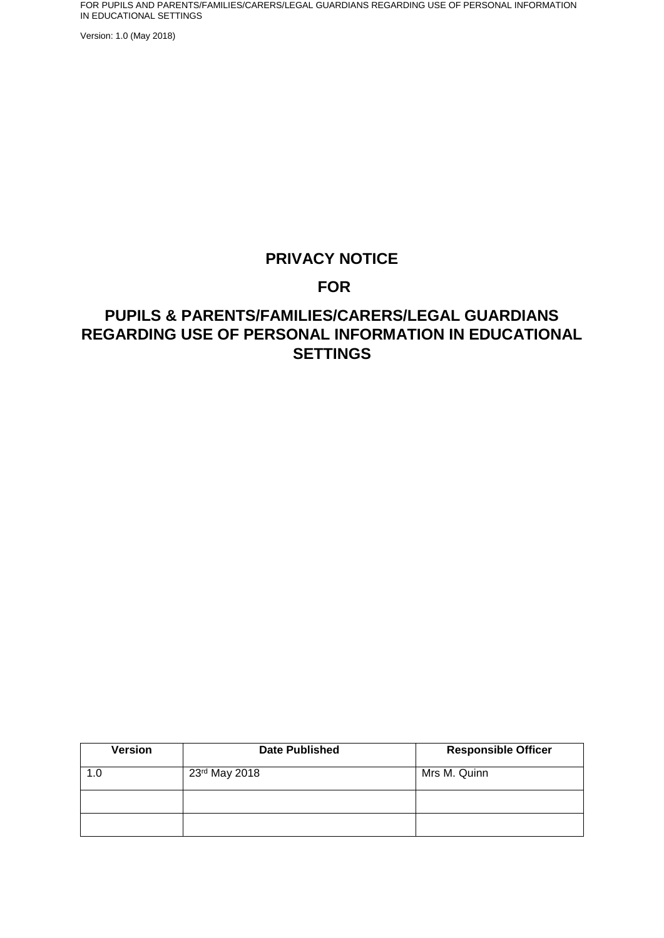Version: 1.0 (May 2018)

## **PRIVACY NOTICE**

## **FOR**

## **PUPILS & PARENTS/FAMILIES/CARERS/LEGAL GUARDIANS REGARDING USE OF PERSONAL INFORMATION IN EDUCATIONAL SETTINGS**

| <b>Version</b> | <b>Date Published</b> | <b>Responsible Officer</b> |
|----------------|-----------------------|----------------------------|
| 1.0            | 23rd May 2018         | Mrs M. Quinn               |
|                |                       |                            |
|                |                       |                            |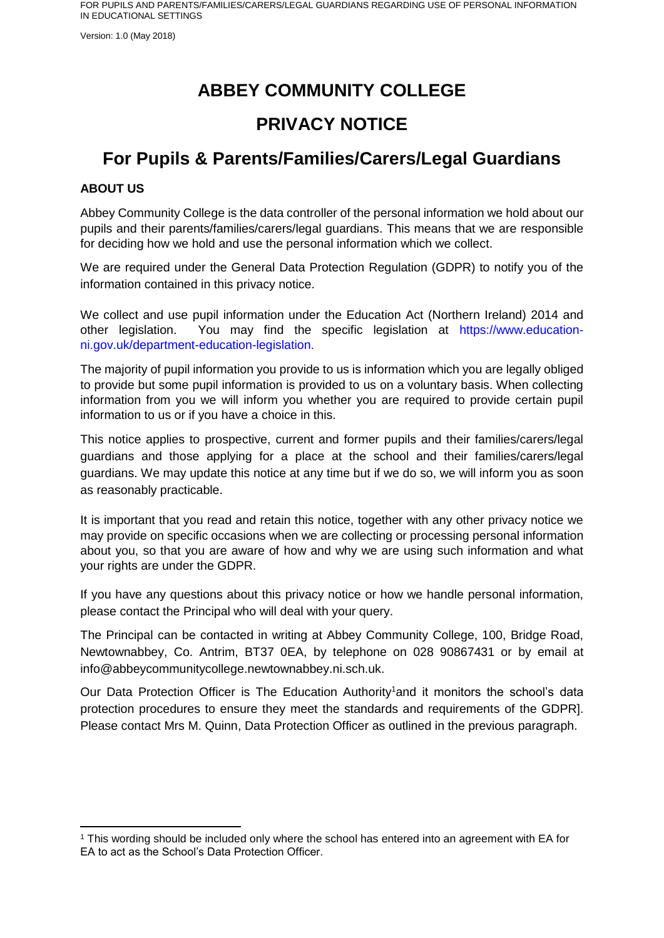Version: 1.0 (May 2018)

# **ABBEY COMMUNITY COLLEGE**

## **PRIVACY NOTICE**

## **For Pupils & Parents/Families/Carers/Legal Guardians**

### **ABOUT US**

-

Abbey Community College is the data controller of the personal information we hold about our pupils and their parents/families/carers/legal guardians. This means that we are responsible for deciding how we hold and use the personal information which we collect.

We are required under the General Data Protection Regulation (GDPR) to notify you of the information contained in this privacy notice.

We collect and use pupil information under the Education Act (Northern Ireland) 2014 and other legislation. You may find the specific legislation at https://www.educationni.gov.uk/department-education-legislation.

The majority of pupil information you provide to us is information which you are legally obliged to provide but some pupil information is provided to us on a voluntary basis. When collecting information from you we will inform you whether you are required to provide certain pupil information to us or if you have a choice in this.

This notice applies to prospective, current and former pupils and their families/carers/legal guardians and those applying for a place at the school and their families/carers/legal guardians. We may update this notice at any time but if we do so, we will inform you as soon as reasonably practicable.

It is important that you read and retain this notice, together with any other privacy notice we may provide on specific occasions when we are collecting or processing personal information about you, so that you are aware of how and why we are using such information and what your rights are under the GDPR.

If you have any questions about this privacy notice or how we handle personal information, please contact the Principal who will deal with your query.

The Principal can be contacted in writing at Abbey Community College, 100, Bridge Road, Newtownabbey, Co. Antrim, BT37 0EA, by telephone on 028 90867431 or by email at info@abbeycommunitycollege.newtownabbey.ni.sch.uk.

Our Data Protection Officer is The Education Authority<sup>1</sup>and it monitors the school's data protection procedures to ensure they meet the standards and requirements of the GDPR]. Please contact Mrs M. Quinn, Data Protection Officer as outlined in the previous paragraph.

<sup>1</sup> This wording should be included only where the school has entered into an agreement with EA for EA to act as the School's Data Protection Officer.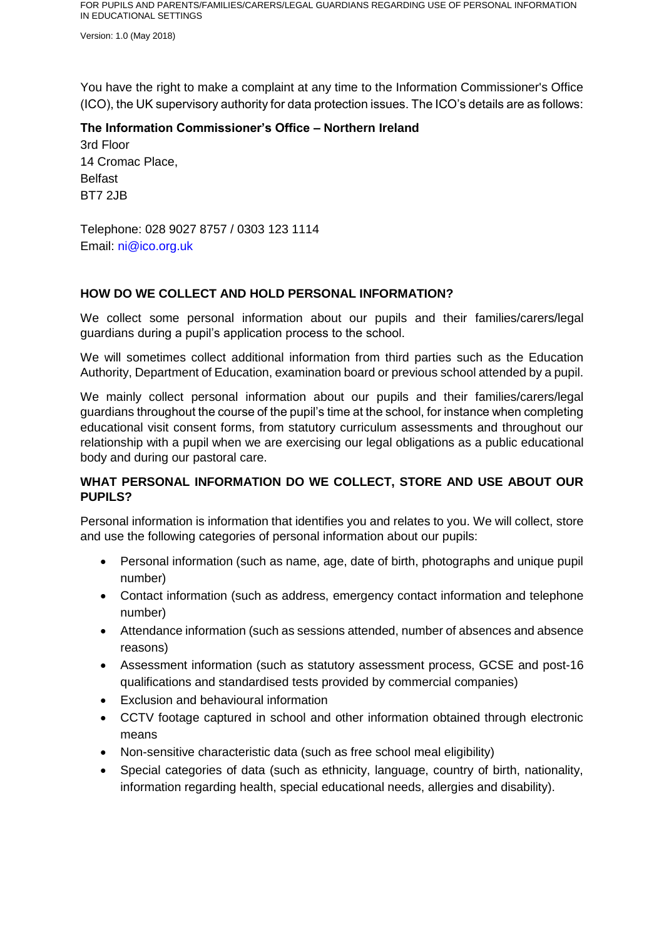Version: 1.0 (May 2018)

You have the right to make a complaint at any time to the Information Commissioner's Office (ICO), the UK supervisory authority for data protection issues. The ICO's details are as follows:

**The Information Commissioner's Office – Northern Ireland** 3rd Floor 14 Cromac Place, Belfast BT7 2JB

Telephone: 028 9027 8757 / 0303 123 1114 Email: ni@ico.org.uk

#### **HOW DO WE COLLECT AND HOLD PERSONAL INFORMATION?**

We collect some personal information about our pupils and their families/carers/legal guardians during a pupil's application process to the school.

We will sometimes collect additional information from third parties such as the Education Authority, Department of Education, examination board or previous school attended by a pupil.

We mainly collect personal information about our pupils and their families/carers/legal guardians throughout the course of the pupil's time at the school, for instance when completing educational visit consent forms, from statutory curriculum assessments and throughout our relationship with a pupil when we are exercising our legal obligations as a public educational body and during our pastoral care.

#### **WHAT PERSONAL INFORMATION DO WE COLLECT, STORE AND USE ABOUT OUR PUPILS?**

Personal information is information that identifies you and relates to you. We will collect, store and use the following categories of personal information about our pupils:

- Personal information (such as name, age, date of birth, photographs and unique pupil number)
- Contact information (such as address, emergency contact information and telephone number)
- Attendance information (such as sessions attended, number of absences and absence reasons)
- Assessment information (such as statutory assessment process, GCSE and post-16 qualifications and standardised tests provided by commercial companies)
- Exclusion and behavioural information
- CCTV footage captured in school and other information obtained through electronic means
- Non-sensitive characteristic data (such as free school meal eligibility)
- Special categories of data (such as ethnicity, language, country of birth, nationality, information regarding health, special educational needs, allergies and disability).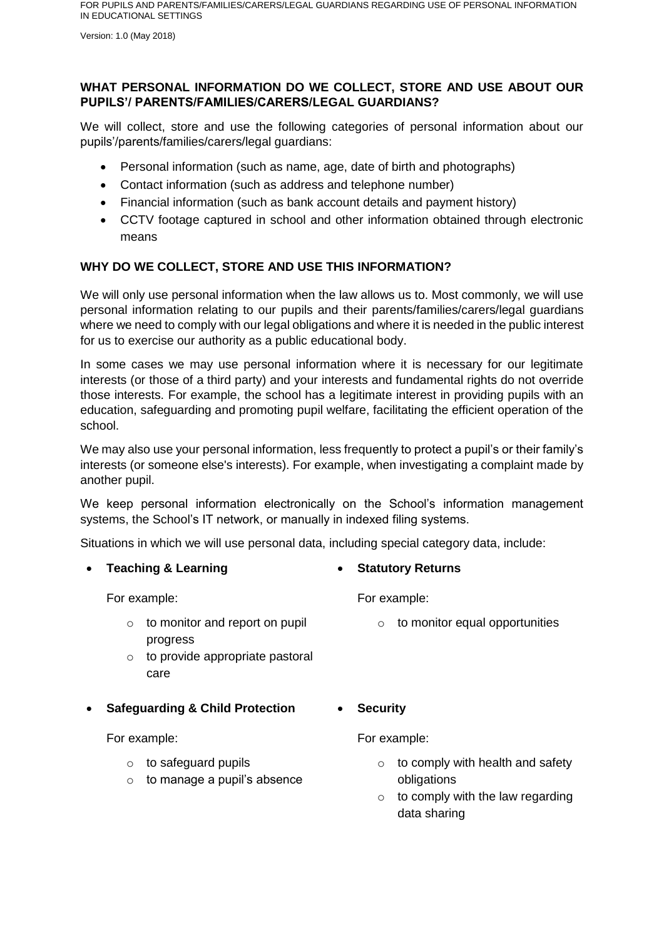Version: 1.0 (May 2018)

### **WHAT PERSONAL INFORMATION DO WE COLLECT, STORE AND USE ABOUT OUR PUPILS'/ PARENTS/FAMILIES/CARERS/LEGAL GUARDIANS?**

We will collect, store and use the following categories of personal information about our pupils'/parents/families/carers/legal guardians:

- Personal information (such as name, age, date of birth and photographs)
- Contact information (such as address and telephone number)
- Financial information (such as bank account details and payment history)
- CCTV footage captured in school and other information obtained through electronic means

### **WHY DO WE COLLECT, STORE AND USE THIS INFORMATION?**

We will only use personal information when the law allows us to. Most commonly, we will use personal information relating to our pupils and their parents/families/carers/legal guardians where we need to comply with our legal obligations and where it is needed in the public interest for us to exercise our authority as a public educational body.

In some cases we may use personal information where it is necessary for our legitimate interests (or those of a third party) and your interests and fundamental rights do not override those interests. For example, the school has a legitimate interest in providing pupils with an education, safeguarding and promoting pupil welfare, facilitating the efficient operation of the school.

We may also use your personal information, less frequently to protect a pupil's or their family's interests (or someone else's interests). For example, when investigating a complaint made by another pupil.

We keep personal information electronically on the School's information management systems, the School's IT network, or manually in indexed filing systems.

Situations in which we will use personal data, including special category data, include:

**Teaching & Learning**

For example:

- o to monitor and report on pupil progress
- $\circ$  to provide appropriate pastoral care
- **Safeguarding & Child Protection**

For example:

- $\circ$  to safeguard pupils
- $\circ$  to manage a pupil's absence

### **Statutory Returns**

For example:

- $\circ$  to monitor equal opportunities
- **Security**

For example:

- $\circ$  to comply with health and safety obligations
- $\circ$  to comply with the law regarding data sharing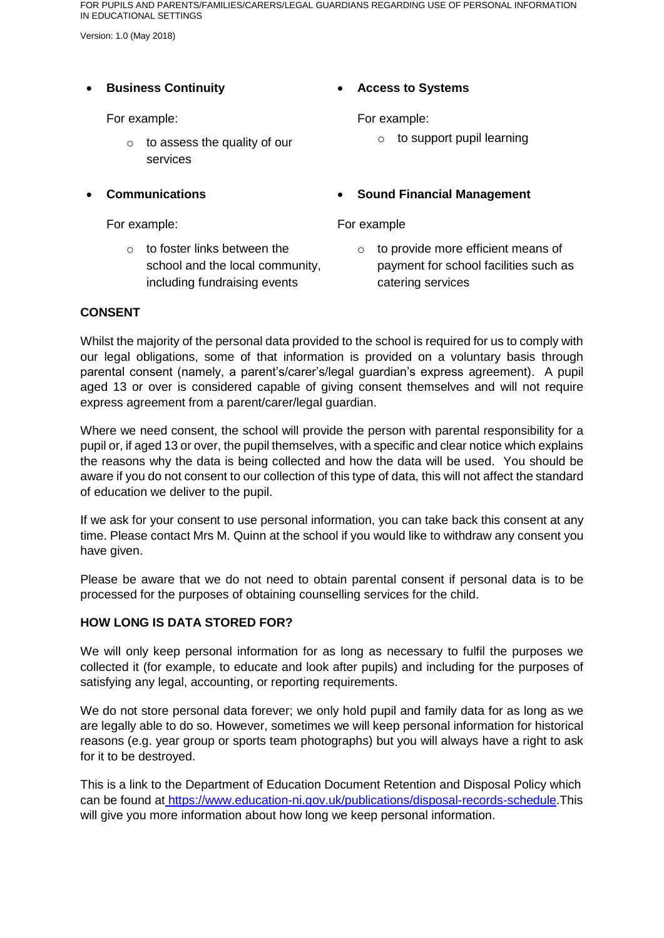Version: 1.0 (May 2018)

#### **Business Continuity**

For example:

- $\circ$  to assess the quality of our services
- **Communications**

For example:

o to foster links between the school and the local community, including fundraising events

**Access to Systems**

For example:

 $\circ$  to support pupil learning

### **Sound Financial Management**

For example

o to provide more efficient means of payment for school facilities such as catering services

#### **CONSENT**

Whilst the majority of the personal data provided to the school is required for us to comply with our legal obligations, some of that information is provided on a voluntary basis through parental consent (namely, a parent's/carer's/legal guardian's express agreement). A pupil aged 13 or over is considered capable of giving consent themselves and will not require express agreement from a parent/carer/legal guardian.

Where we need consent, the school will provide the person with parental responsibility for a pupil or, if aged 13 or over, the pupil themselves, with a specific and clear notice which explains the reasons why the data is being collected and how the data will be used. You should be aware if you do not consent to our collection of this type of data, this will not affect the standard of education we deliver to the pupil.

If we ask for your consent to use personal information, you can take back this consent at any time. Please contact Mrs M. Quinn at the school if you would like to withdraw any consent you have given.

Please be aware that we do not need to obtain parental consent if personal data is to be processed for the purposes of obtaining counselling services for the child.

#### **HOW LONG IS DATA STORED FOR?**

We will only keep personal information for as long as necessary to fulfil the purposes we collected it (for example, to educate and look after pupils) and including for the purposes of satisfying any legal, accounting, or reporting requirements.

We do not store personal data forever; we only hold pupil and family data for as long as we are legally able to do so. However, sometimes we will keep personal information for historical reasons (e.g. year group or sports team photographs) but you will always have a right to ask for it to be destroyed.

This is a link to the Department of Education Document Retention and Disposal Policy which can be found at [https://www.education-ni.gov.uk/publications/disposal-records-schedule.](https://www.education-ni.gov.uk/publications/disposal-records-schedule)This will give you more information about how long we keep personal information.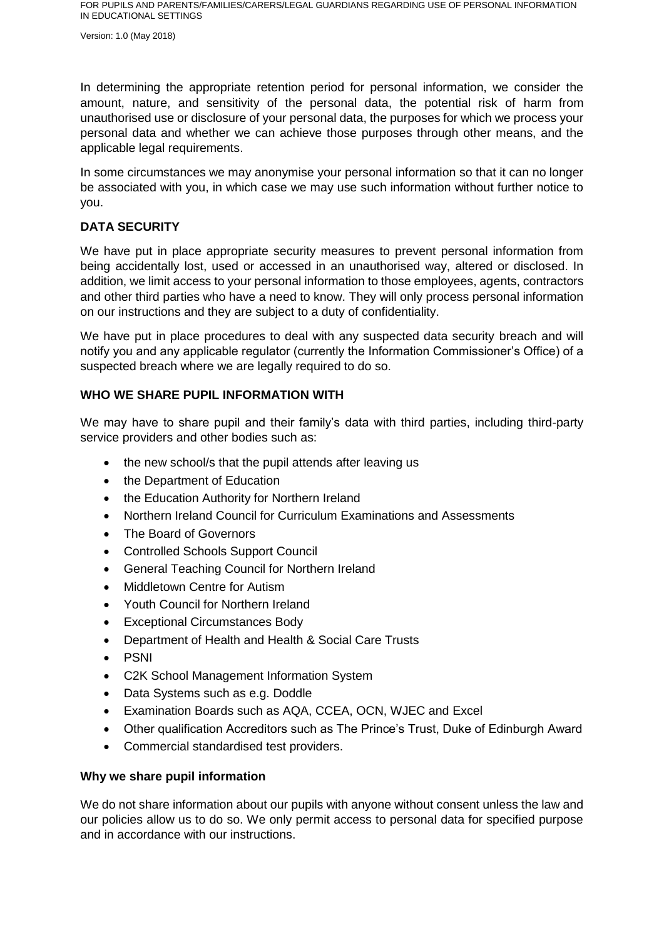Version: 1.0 (May 2018)

In determining the appropriate retention period for personal information, we consider the amount, nature, and sensitivity of the personal data, the potential risk of harm from unauthorised use or disclosure of your personal data, the purposes for which we process your personal data and whether we can achieve those purposes through other means, and the applicable legal requirements.

In some circumstances we may anonymise your personal information so that it can no longer be associated with you, in which case we may use such information without further notice to you.

#### **DATA SECURITY**

We have put in place appropriate security measures to prevent personal information from being accidentally lost, used or accessed in an unauthorised way, altered or disclosed. In addition, we limit access to your personal information to those employees, agents, contractors and other third parties who have a need to know. They will only process personal information on our instructions and they are subject to a duty of confidentiality.

We have put in place procedures to deal with any suspected data security breach and will notify you and any applicable regulator (currently the Information Commissioner's Office) of a suspected breach where we are legally required to do so.

#### **WHO WE SHARE PUPIL INFORMATION WITH**

We may have to share pupil and their family's data with third parties, including third-party service providers and other bodies such as:

- the new school/s that the pupil attends after leaving us
- the Department of Education
- the Education Authority for Northern Ireland
- Northern Ireland Council for Curriculum Examinations and Assessments
- The Board of Governors
- Controlled Schools Support Council
- General Teaching Council for Northern Ireland
- Middletown Centre for Autism
- Youth Council for Northern Ireland
- Exceptional Circumstances Body
- Department of Health and Health & Social Care Trusts
- PSNI
- C2K School Management Information System
- Data Systems such as e.g. Doddle
- Examination Boards such as AQA, CCEA, OCN, WJEC and Excel
- Other qualification Accreditors such as The Prince's Trust, Duke of Edinburgh Award
- Commercial standardised test providers.

#### **Why we share pupil information**

We do not share information about our pupils with anyone without consent unless the law and our policies allow us to do so. We only permit access to personal data for specified purpose and in accordance with our instructions.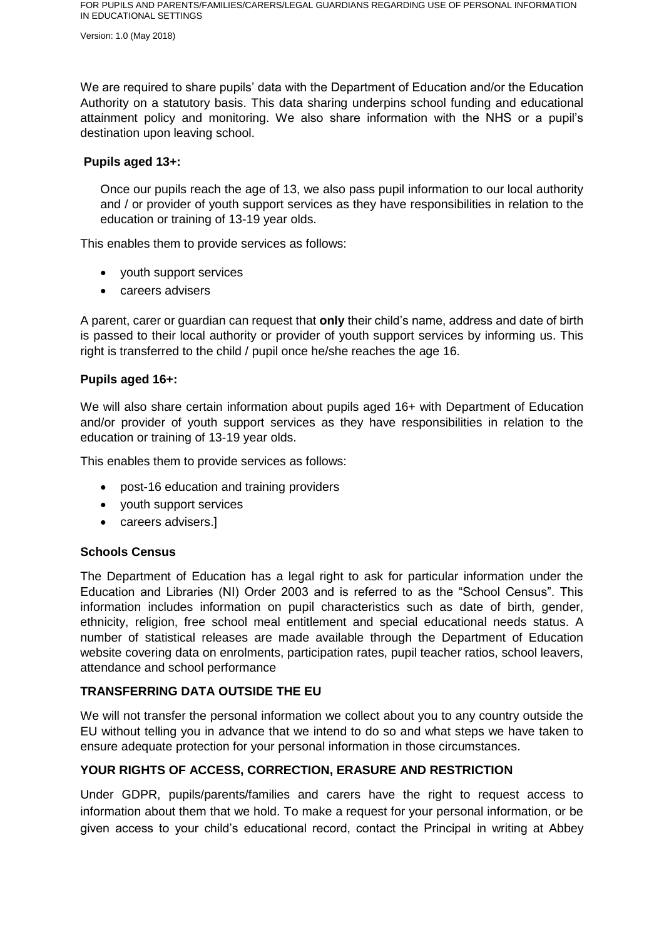Version: 1.0 (May 2018)

We are required to share pupils' data with the Department of Education and/or the Education Authority on a statutory basis. This data sharing underpins school funding and educational attainment policy and monitoring. We also share information with the NHS or a pupil's destination upon leaving school.

#### **Pupils aged 13+:**

Once our pupils reach the age of 13, we also pass pupil information to our local authority and / or provider of youth support services as they have responsibilities in relation to the education or training of 13-19 year olds.

This enables them to provide services as follows:

- youth support services
- careers advisers

A parent, carer or guardian can request that **only** their child's name, address and date of birth is passed to their local authority or provider of youth support services by informing us. This right is transferred to the child / pupil once he/she reaches the age 16.

#### **Pupils aged 16+:**

We will also share certain information about pupils aged 16+ with Department of Education and/or provider of youth support services as they have responsibilities in relation to the education or training of 13-19 year olds.

This enables them to provide services as follows:

- post-16 education and training providers
- youth support services
- careers advisers.

#### **Schools Census**

The Department of Education has a legal right to ask for particular information under the Education and Libraries (NI) Order 2003 and is referred to as the "School Census". This information includes information on pupil characteristics such as date of birth, gender, ethnicity, religion, free school meal entitlement and special educational needs status. A number of statistical releases are made available through the Department of Education website covering data on enrolments, participation rates, pupil teacher ratios, school leavers, attendance and school performance

#### **TRANSFERRING DATA OUTSIDE THE EU**

We will not transfer the personal information we collect about you to any country outside the EU without telling you in advance that we intend to do so and what steps we have taken to ensure adequate protection for your personal information in those circumstances.

#### **YOUR RIGHTS OF ACCESS, CORRECTION, ERASURE AND RESTRICTION**

Under GDPR, pupils/parents/families and carers have the right to request access to information about them that we hold. To make a request for your personal information, or be given access to your child's educational record, contact the Principal in writing at Abbey